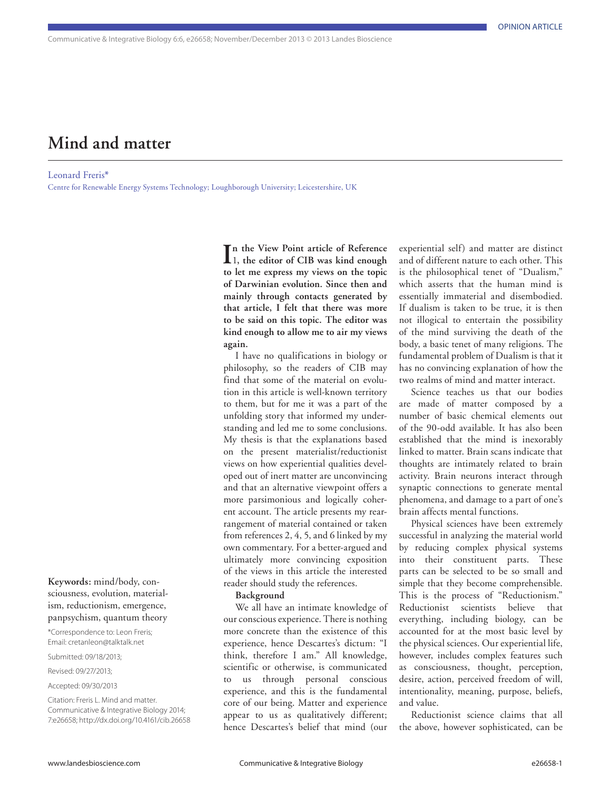# **Mind and matter**

Leonard Freris\* Centre for Renewable Energy Systems Technology; Loughborough University; Leicestershire, UK

> **I n the View Point article of Reference**  1**, the editor of CIB was kind enough to let me express my views on the topic of Darwinian evolution. Since then and mainly through contacts generated by that article, I felt that there was more to be said on this topic. The editor was kind enough to allow me to air my views again.**

> I have no qualifications in biology or philosophy, so the readers of CIB may find that some of the material on evolution in this article is well-known territory to them, but for me it was a part of the unfolding story that informed my understanding and led me to some conclusions. My thesis is that the explanations based on the present materialist/reductionist views on how experiential qualities developed out of inert matter are unconvincing and that an alternative viewpoint offers a more parsimonious and logically coherent account. The article presents my rearrangement of material contained or taken from references 2, 4, 5, and 6 linked by my own commentary. For a better-argued and ultimately more convincing exposition of the views in this article the interested reader should study the references.

#### **Background**

We all have an intimate knowledge of our conscious experience. There is nothing more concrete than the existence of this experience, hence Descartes's dictum: "I think, therefore I am." All knowledge, scientific or otherwise, is communicated to us through personal conscious experience, and this is the fundamental core of our being. Matter and experience appear to us as qualitatively different; hence Descartes's belief that mind (our

experiential self) and matter are distinct and of different nature to each other. This is the philosophical tenet of "Dualism," which asserts that the human mind is essentially immaterial and disembodied. If dualism is taken to be true, it is then not illogical to entertain the possibility of the mind surviving the death of the body, a basic tenet of many religions. The fundamental problem of Dualism is that it has no convincing explanation of how the two realms of mind and matter interact.

Science teaches us that our bodies are made of matter composed by a number of basic chemical elements out of the 90-odd available. It has also been established that the mind is inexorably linked to matter. Brain scans indicate that thoughts are intimately related to brain activity. Brain neurons interact through synaptic connections to generate mental phenomena, and damage to a part of one's brain affects mental functions.

Physical sciences have been extremely successful in analyzing the material world by reducing complex physical systems into their constituent parts. These parts can be selected to be so small and simple that they become comprehensible. This is the process of "Reductionism." Reductionist scientists believe that everything, including biology, can be accounted for at the most basic level by the physical sciences. Our experiential life, however, includes complex features such as consciousness, thought, perception, desire, action, perceived freedom of will, intentionality, meaning, purpose, beliefs, and value.

Reductionist science claims that all the above, however sophisticated, can be

## **Keywords:** mind/body, consciousness, evolution, materialism, reductionism, emergence, panpsychism, quantum theory

\*Correspondence to: Leon Freris; Email: cretanleon@talktalk.net

Submitted: 09/18/2013;

Revised: 09/27/2013;

## Accepted: 09/30/2013

Citation: Freris L. Mind and matter. Communicative & Integrative Biology 2014; 7:e26658; http://dx.doi.org/10.4161/cib.26658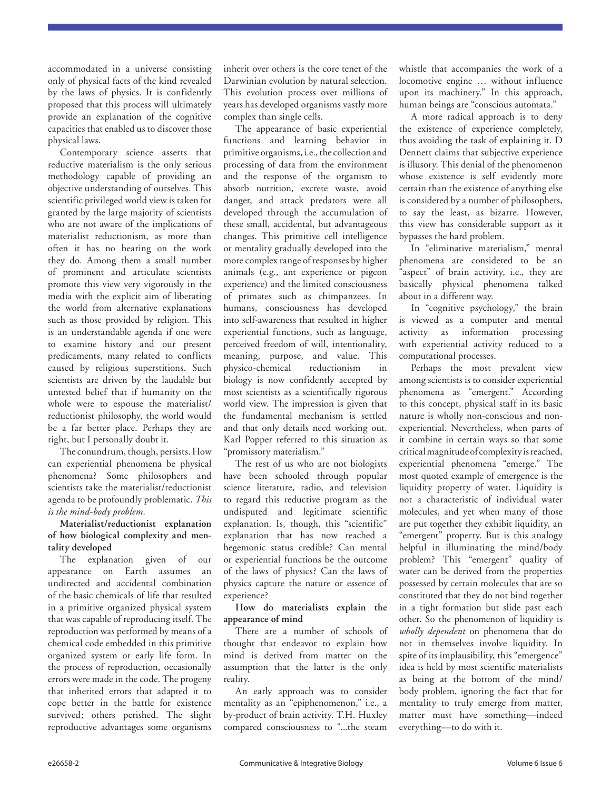accommodated in a universe consisting only of physical facts of the kind revealed by the laws of physics. It is confidently proposed that this process will ultimately provide an explanation of the cognitive capacities that enabled us to discover those physical laws.

Contemporary science asserts that reductive materialism is the only serious methodology capable of providing an objective understanding of ourselves. This scientific privileged world view is taken for granted by the large majority of scientists who are not aware of the implications of materialist reductionism, as more than often it has no bearing on the work they do. Among them a small number of prominent and articulate scientists promote this view very vigorously in the media with the explicit aim of liberating the world from alternative explanations such as those provided by religion. This is an understandable agenda if one were to examine history and our present predicaments, many related to conflicts caused by religious superstitions. Such scientists are driven by the laudable but untested belief that if humanity on the whole were to espouse the materialist/ reductionist philosophy, the world would be a far better place. Perhaps they are right, but I personally doubt it.

The conundrum, though, persists. How can experiential phenomena be physical phenomena? Some philosophers and scientists take the materialist/reductionist agenda to be profoundly problematic. *This is the mind-body problem.*

**Materialist/reductionist explanation of how biological complexity and mentality developed**

The explanation given of our appearance on Earth assumes an undirected and accidental combination of the basic chemicals of life that resulted in a primitive organized physical system that was capable of reproducing itself. The reproduction was performed by means of a chemical code embedded in this primitive organized system or early life form. In the process of reproduction, occasionally errors were made in the code. The progeny that inherited errors that adapted it to cope better in the battle for existence survived; others perished. The slight reproductive advantages some organisms

inherit over others is the core tenet of the Darwinian evolution by natural selection. This evolution process over millions of years has developed organisms vastly more complex than single cells.

The appearance of basic experiential functions and learning behavior in primitive organisms, i.e., the collection and processing of data from the environment and the response of the organism to absorb nutrition, excrete waste, avoid danger, and attack predators were all developed through the accumulation of these small, accidental, but advantageous changes. This primitive cell intelligence or mentality gradually developed into the more complex range of responses by higher animals (e.g., ant experience or pigeon experience) and the limited consciousness of primates such as chimpanzees. In humans, consciousness has developed into self-awareness that resulted in higher experiential functions, such as language, perceived freedom of will, intentionality, meaning, purpose, and value. This physico-chemical reductionism in biology is now confidently accepted by most scientists as a scientifically rigorous world view. The impression is given that the fundamental mechanism is settled and that only details need working out. Karl Popper referred to this situation as "promissory materialism."

The rest of us who are not biologists have been schooled through popular science literature, radio, and television to regard this reductive program as the undisputed and legitimate scientific explanation. Is, though, this "scientific" explanation that has now reached a hegemonic status credible? Can mental or experiential functions be the outcome of the laws of physics? Can the laws of physics capture the nature or essence of experience?

#### **How do materialists explain the appearance of mind**

There are a number of schools of thought that endeavor to explain how mind is derived from matter on the assumption that the latter is the only reality.

An early approach was to consider mentality as an "epiphenomenon," i.e., a by-product of brain activity. T.H. Huxley compared consciousness to "...the steam

whistle that accompanies the work of a locomotive engine … without influence upon its machinery." In this approach, human beings are "conscious automata."

A more radical approach is to deny the existence of experience completely, thus avoiding the task of explaining it. D Dennett claims that subjective experience is illusory. This denial of the phenomenon whose existence is self evidently more certain than the existence of anything else is considered by a number of philosophers, to say the least, as bizarre. However, this view has considerable support as it bypasses the hard problem.

In "eliminative materialism," mental phenomena are considered to be an "aspect" of brain activity, i.e., they are basically physical phenomena talked about in a different way.

In "cognitive psychology," the brain is viewed as a computer and mental activity as information processing with experiential activity reduced to a computational processes.

Perhaps the most prevalent view among scientists is to consider experiential phenomena as "emergent." According to this concept, physical staff in its basic nature is wholly non-conscious and nonexperiential. Nevertheless, when parts of it combine in certain ways so that some critical magnitude of complexity is reached, experiential phenomena "emerge." The most quoted example of emergence is the liquidity property of water. Liquidity is not a characteristic of individual water molecules, and yet when many of those are put together they exhibit liquidity, an "emergent" property. But is this analogy helpful in illuminating the mind/body problem? This "emergent" quality of water can be derived from the properties possessed by certain molecules that are so constituted that they do not bind together in a tight formation but slide past each other. So the phenomenon of liquidity is *wholly dependent* on phenomena that do not in themselves involve liquidity. In spite of its implausibility, this "emergence" idea is held by most scientific materialists as being at the bottom of the mind/ body problem, ignoring the fact that for mentality to truly emerge from matter, matter must have something—indeed everything—to do with it.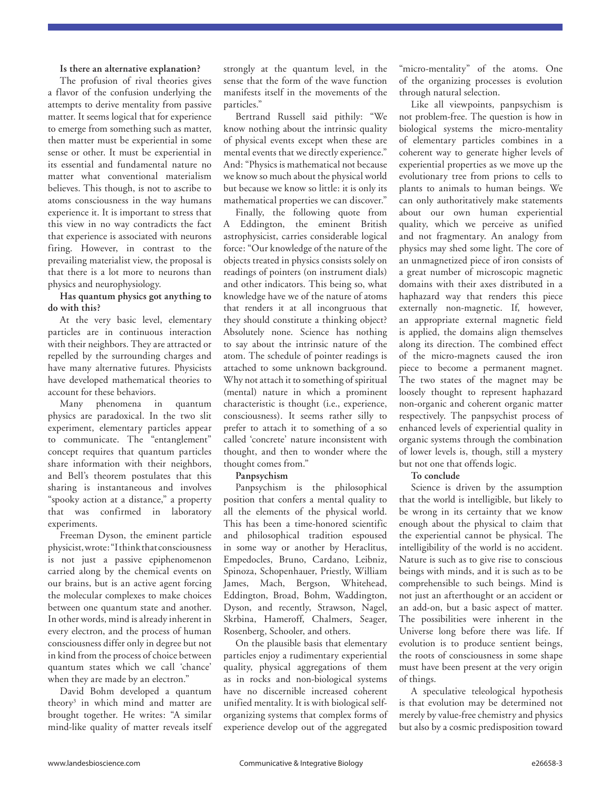## **Is there an alternative explanation?**

The profusion of rival theories gives a flavor of the confusion underlying the attempts to derive mentality from passive matter. It seems logical that for experience to emerge from something such as matter, then matter must be experiential in some sense or other. It must be experiential in its essential and fundamental nature no matter what conventional materialism believes. This though, is not to ascribe to atoms consciousness in the way humans experience it. It is important to stress that this view in no way contradicts the fact that experience is associated with neurons firing. However, in contrast to the prevailing materialist view, the proposal is that there is a lot more to neurons than physics and neurophysiology.

## **Has quantum physics got anything to do with this?**

At the very basic level, elementary particles are in continuous interaction with their neighbors. They are attracted or repelled by the surrounding charges and have many alternative futures. Physicists have developed mathematical theories to account for these behaviors.

Many phenomena in quantum physics are paradoxical. In the two slit experiment, elementary particles appear to communicate. The "entanglement" concept requires that quantum particles share information with their neighbors, and Bell's theorem postulates that this sharing is instantaneous and involves "spooky action at a distance," a property that was confirmed in laboratory experiments.

Freeman Dyson, the eminent particle physicist, wrote: "I think that consciousness is not just a passive epiphenomenon carried along by the chemical events on our brains, but is an active agent forcing the molecular complexes to make choices between one quantum state and another. In other words, mind is already inherent in every electron, and the process of human consciousness differ only in degree but not in kind from the process of choice between quantum states which we call 'chance' when they are made by an electron."

David Bohm developed a quantum theory3 in which mind and matter are brought together. He writes: "A similar mind-like quality of matter reveals itself

strongly at the quantum level, in the sense that the form of the wave function manifests itself in the movements of the particles."

Bertrand Russell said pithily: "We know nothing about the intrinsic quality of physical events except when these are mental events that we directly experience." And: "Physics is mathematical not because we know so much about the physical world but because we know so little: it is only its mathematical properties we can discover."

Finally, the following quote from A Eddington, the eminent British astrophysicist, carries considerable logical force: "Our knowledge of the nature of the objects treated in physics consists solely on readings of pointers (on instrument dials) and other indicators. This being so, what knowledge have we of the nature of atoms that renders it at all incongruous that they should constitute a thinking object? Absolutely none. Science has nothing to say about the intrinsic nature of the atom. The schedule of pointer readings is attached to some unknown background. Why not attach it to something of spiritual (mental) nature in which a prominent characteristic is thought (i.e., experience, consciousness). It seems rather silly to prefer to attach it to something of a so called 'concrete' nature inconsistent with thought, and then to wonder where the thought comes from."

## **Panpsychism**

Panpsychism is the philosophical position that confers a mental quality to all the elements of the physical world. This has been a time-honored scientific and philosophical tradition espoused in some way or another by Heraclitus, Empedocles, Bruno, Cardano, Leibniz, Spinoza, Schopenhauer, Priestly, William James, Mach, Bergson, Whitehead, Eddington, Broad, Bohm, Waddington, Dyson, and recently, Strawson, Nagel, Skrbina, Hameroff, Chalmers, Seager, Rosenberg, Schooler, and others.

On the plausible basis that elementary particles enjoy a rudimentary experiential quality, physical aggregations of them as in rocks and non-biological systems have no discernible increased coherent unified mentality. It is with biological selforganizing systems that complex forms of experience develop out of the aggregated

"micro-mentality" of the atoms. One of the organizing processes is evolution through natural selection.

Like all viewpoints, panpsychism is not problem-free. The question is how in biological systems the micro-mentality of elementary particles combines in a coherent way to generate higher levels of experiential properties as we move up the evolutionary tree from prions to cells to plants to animals to human beings. We can only authoritatively make statements about our own human experiential quality, which we perceive as unified and not fragmentary. An analogy from physics may shed some light. The core of an unmagnetized piece of iron consists of a great number of microscopic magnetic domains with their axes distributed in a haphazard way that renders this piece externally non-magnetic. If, however, an appropriate external magnetic field is applied, the domains align themselves along its direction. The combined effect of the micro-magnets caused the iron piece to become a permanent magnet. The two states of the magnet may be loosely thought to represent haphazard non-organic and coherent organic matter respectively. The panpsychist process of enhanced levels of experiential quality in organic systems through the combination of lower levels is, though, still a mystery but not one that offends logic.

#### **To conclude**

Science is driven by the assumption that the world is intelligible, but likely to be wrong in its certainty that we know enough about the physical to claim that the experiential cannot be physical. The intelligibility of the world is no accident. Nature is such as to give rise to conscious beings with minds, and it is such as to be comprehensible to such beings. Mind is not just an afterthought or an accident or an add-on, but a basic aspect of matter. The possibilities were inherent in the Universe long before there was life. If evolution is to produce sentient beings, the roots of consciousness in some shape must have been present at the very origin of things.

A speculative teleological hypothesis is that evolution may be determined not merely by value-free chemistry and physics but also by a cosmic predisposition toward